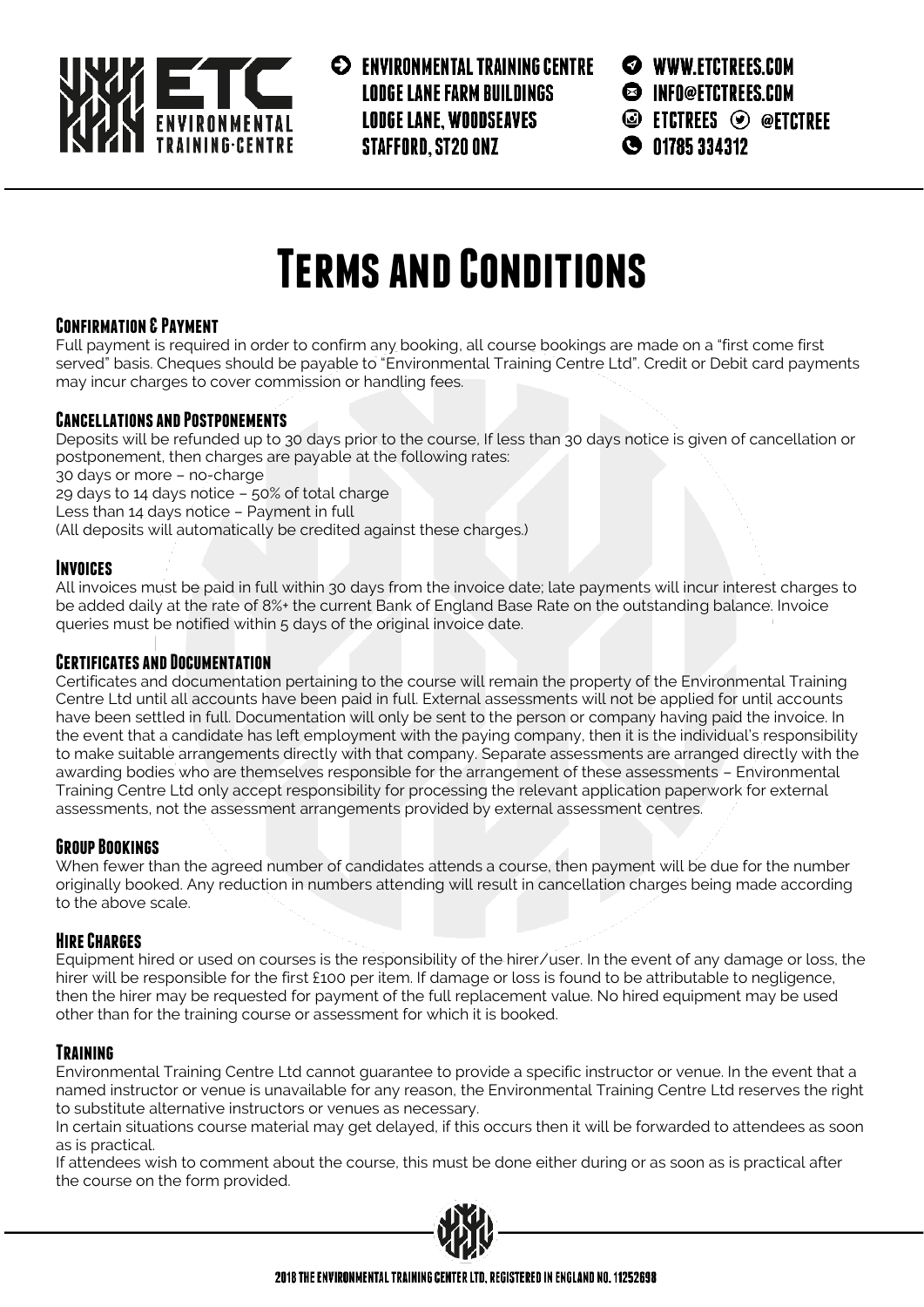

**EXPLOSIVE CONTROL PRAINING CENTRE LODGE LANE FARM BUILDINGS LODGE LANE, WOODSEAVES STAFFORD, ST20 ONZ** 

**WWW.ETCTREES.COM** 

- S INFO@ETCTREES.COM
- $\circledcirc$  etctrees  $\circledcirc$  @etctree

 $9$  01785 334312

# **Terms and Conditions**

#### **Confirmation & Payment**

Full payment is required in order to confirm any booking, all course bookings are made on a "first come first served" basis. Cheques should be payable to "Environmental Training Centre Ltd". Credit or Debit card payments may incur charges to cover commission or handling fees.

## **Cancellations and Postponements**

Deposits will be refunded up to 30 days prior to the course, If less than 30 days notice is given of cancellation or postponement, then charges are payable at the following rates: 30 days or more – no-charge

29 days to 14 days notice – 50% of total charge

Less than 14 days notice – Payment in full

(All deposits will automatically be credited against these charges.)

#### **Invoices**

All invoices must be paid in full within 30 days from the invoice date; late payments will incur interest charges to be added daily at the rate of 8%+ the current Bank of England Base Rate on the outstanding balance. Invoice queries must be notified within 5 days of the original invoice date.

## **Certificates and Documentation**

Certificates and documentation pertaining to the course will remain the property of the Environmental Training Centre Ltd until all accounts have been paid in full. External assessments will not be applied for until accounts have been settled in full. Documentation will only be sent to the person or company having paid the invoice. In the event that a candidate has left employment with the paying company, then it is the individual's responsibility to make suitable arrangements directly with that company. Separate assessments are arranged directly with the awarding bodies who are themselves responsible for the arrangement of these assessments – Environmental Training Centre Ltd only accept responsibility for processing the relevant application paperwork for external assessments, not the assessment arrangements provided by external assessment centres.

## **Group Bookings**

When fewer than the agreed number of candidates attends a course, then payment will be due for the number originally booked. Any reduction in numbers attending will result in cancellation charges being made according to the above scale.

## **Hire Charges**

Equipment hired or used on courses is the responsibility of the hirer/user. In the event of any damage or loss, the hirer will be responsible for the first £100 per item. If damage or loss is found to be attributable to negligence, then the hirer may be requested for payment of the full replacement value. No hired equipment may be used other than for the training course or assessment for which it is booked.

## **Training**

Environmental Training Centre Ltd cannot guarantee to provide a specific instructor or venue. In the event that a named instructor or venue is unavailable for any reason, the Environmental Training Centre Ltd reserves the right to substitute alternative instructors or venues as necessary.

In certain situations course material may get delayed, if this occurs then it will be forwarded to attendees as soon as is practical.

If attendees wish to comment about the course, this must be done either during or as soon as is practical after the course on the form provided.